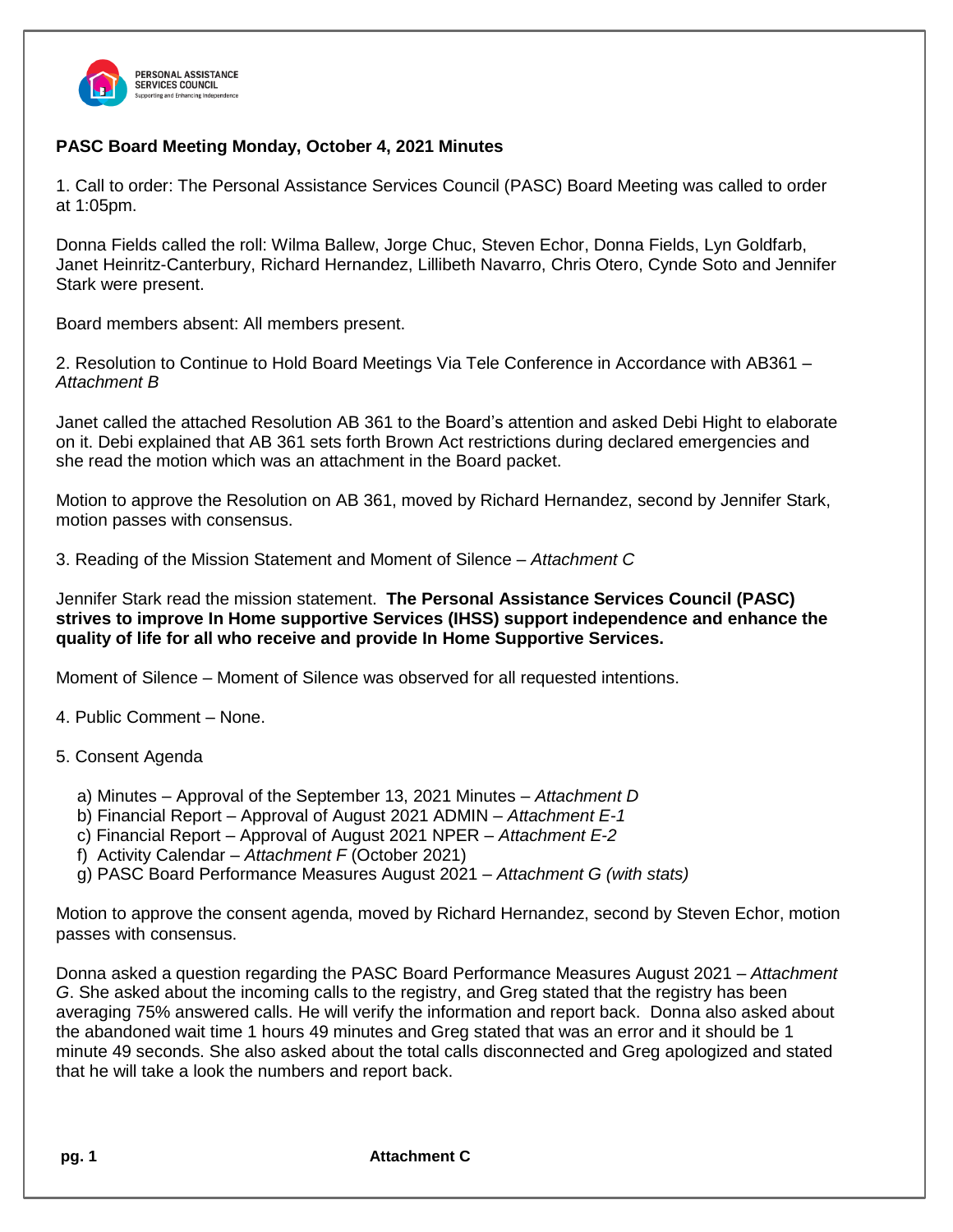

## **PASC Board Meeting Monday, October 4, 2021 Minutes**

1. Call to order: The Personal Assistance Services Council (PASC) Board Meeting was called to order at 1:05pm.

Donna Fields called the roll: Wilma Ballew, Jorge Chuc, Steven Echor, Donna Fields, Lyn Goldfarb, Janet Heinritz-Canterbury, Richard Hernandez, Lillibeth Navarro, Chris Otero, Cynde Soto and Jennifer Stark were present.

Board members absent: All members present.

2. Resolution to Continue to Hold Board Meetings Via Tele Conference in Accordance with AB361 – *Attachment B*

Janet called the attached Resolution AB 361 to the Board's attention and asked Debi Hight to elaborate on it. Debi explained that AB 361 sets forth Brown Act restrictions during declared emergencies and she read the motion which was an attachment in the Board packet.

Motion to approve the Resolution on AB 361, moved by Richard Hernandez, second by Jennifer Stark, motion passes with consensus.

3. Reading of the Mission Statement and Moment of Silence – *Attachment C*

Jennifer Stark read the mission statement. **The Personal Assistance Services Council (PASC) strives to improve In Home supportive Services (IHSS) support independence and enhance the quality of life for all who receive and provide In Home Supportive Services.**

Moment of Silence – Moment of Silence was observed for all requested intentions.

4. Public Comment – None.

## 5. Consent Agenda

- a) Minutes Approval of the September 13, 2021 Minutes *Attachment D*
- b) Financial Report Approval of August 2021 ADMIN *Attachment E-1*
- c) Financial Report Approval of August 2021 NPER *Attachment E-2*
- f) Activity Calendar *Attachment F* (October 2021)
- g) PASC Board Performance Measures August 2021 *– Attachment G (with stats)*

Motion to approve the consent agenda, moved by Richard Hernandez, second by Steven Echor, motion passes with consensus.

Donna asked a question regarding the PASC Board Performance Measures August 2021 *– Attachment G*. She asked about the incoming calls to the registry, and Greg stated that the registry has been averaging 75% answered calls. He will verify the information and report back. Donna also asked about the abandoned wait time 1 hours 49 minutes and Greg stated that was an error and it should be 1 minute 49 seconds. She also asked about the total calls disconnected and Greg apologized and stated that he will take a look the numbers and report back.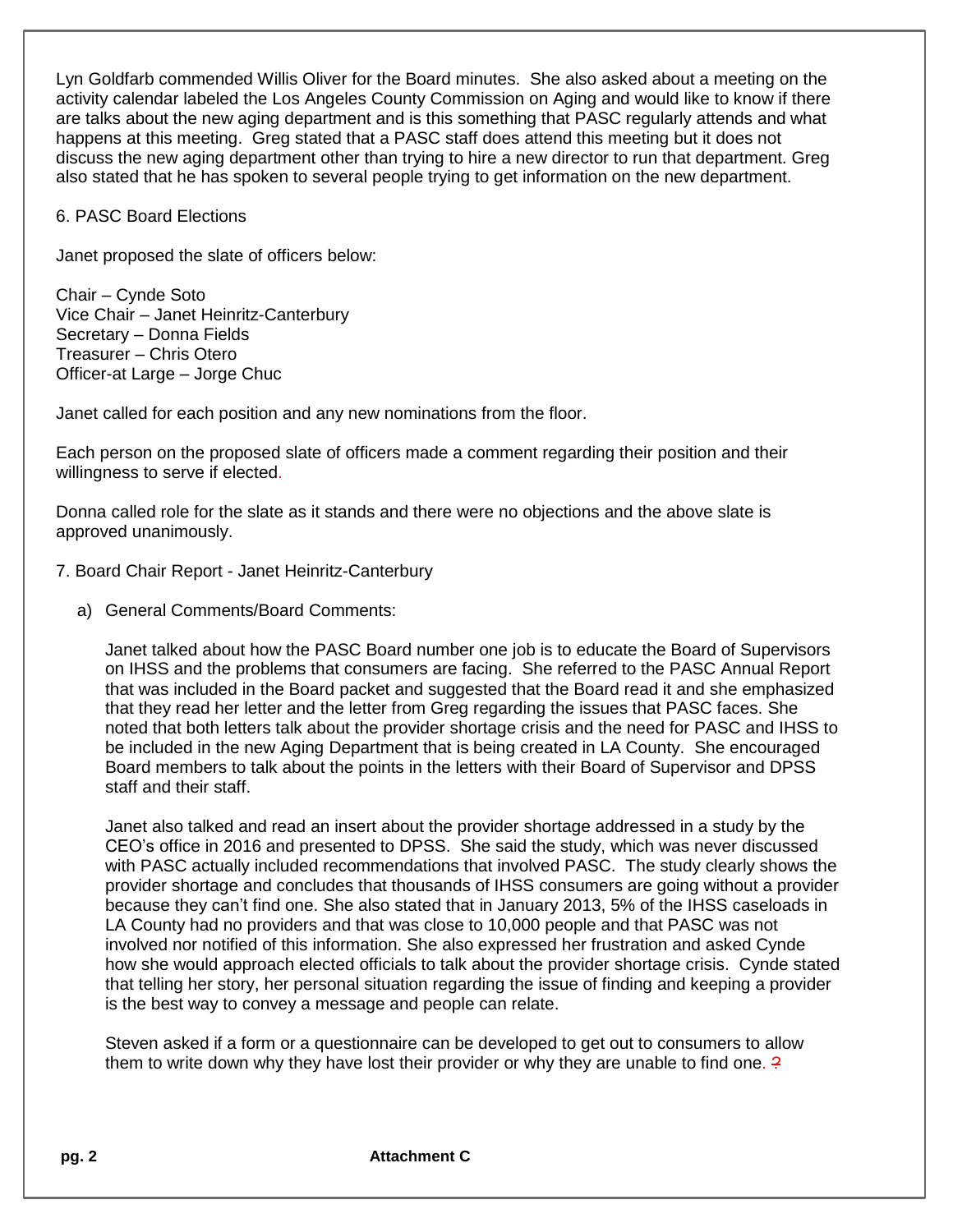Lyn Goldfarb commended Willis Oliver for the Board minutes. She also asked about a meeting on the activity calendar labeled the Los Angeles County Commission on Aging and would like to know if there are talks about the new aging department and is this something that PASC regularly attends and what happens at this meeting. Greg stated that a PASC staff does attend this meeting but it does not discuss the new aging department other than trying to hire a new director to run that department. Greg also stated that he has spoken to several people trying to get information on the new department.

6. PASC Board Elections

Janet proposed the slate of officers below:

Chair – Cynde Soto Vice Chair – Janet Heinritz-Canterbury Secretary – Donna Fields Treasurer – Chris Otero Officer-at Large – Jorge Chuc

Janet called for each position and any new nominations from the floor.

Each person on the proposed slate of officers made a comment regarding their position and their willingness to serve if elected.

Donna called role for the slate as it stands and there were no objections and the above slate is approved unanimously.

- 7. Board Chair Report Janet Heinritz-Canterbury
	- a) General Comments/Board Comments:

Janet talked about how the PASC Board number one job is to educate the Board of Supervisors on IHSS and the problems that consumers are facing. She referred to the PASC Annual Report that was included in the Board packet and suggested that the Board read it and she emphasized that they read her letter and the letter from Greg regarding the issues that PASC faces. She noted that both letters talk about the provider shortage crisis and the need for PASC and IHSS to be included in the new Aging Department that is being created in LA County. She encouraged Board members to talk about the points in the letters with their Board of Supervisor and DPSS staff and their staff.

Janet also talked and read an insert about the provider shortage addressed in a study by the CEO's office in 2016 and presented to DPSS. She said the study, which was never discussed with PASC actually included recommendations that involved PASC. The study clearly shows the provider shortage and concludes that thousands of IHSS consumers are going without a provider because they can't find one. She also stated that in January 2013, 5% of the IHSS caseloads in LA County had no providers and that was close to 10,000 people and that PASC was not involved nor notified of this information. She also expressed her frustration and asked Cynde how she would approach elected officials to talk about the provider shortage crisis. Cynde stated that telling her story, her personal situation regarding the issue of finding and keeping a provider is the best way to convey a message and people can relate.

Steven asked if a form or a questionnaire can be developed to get out to consumers to allow them to write down why they have lost their provider or why they are unable to find one.  $\frac{2}{3}$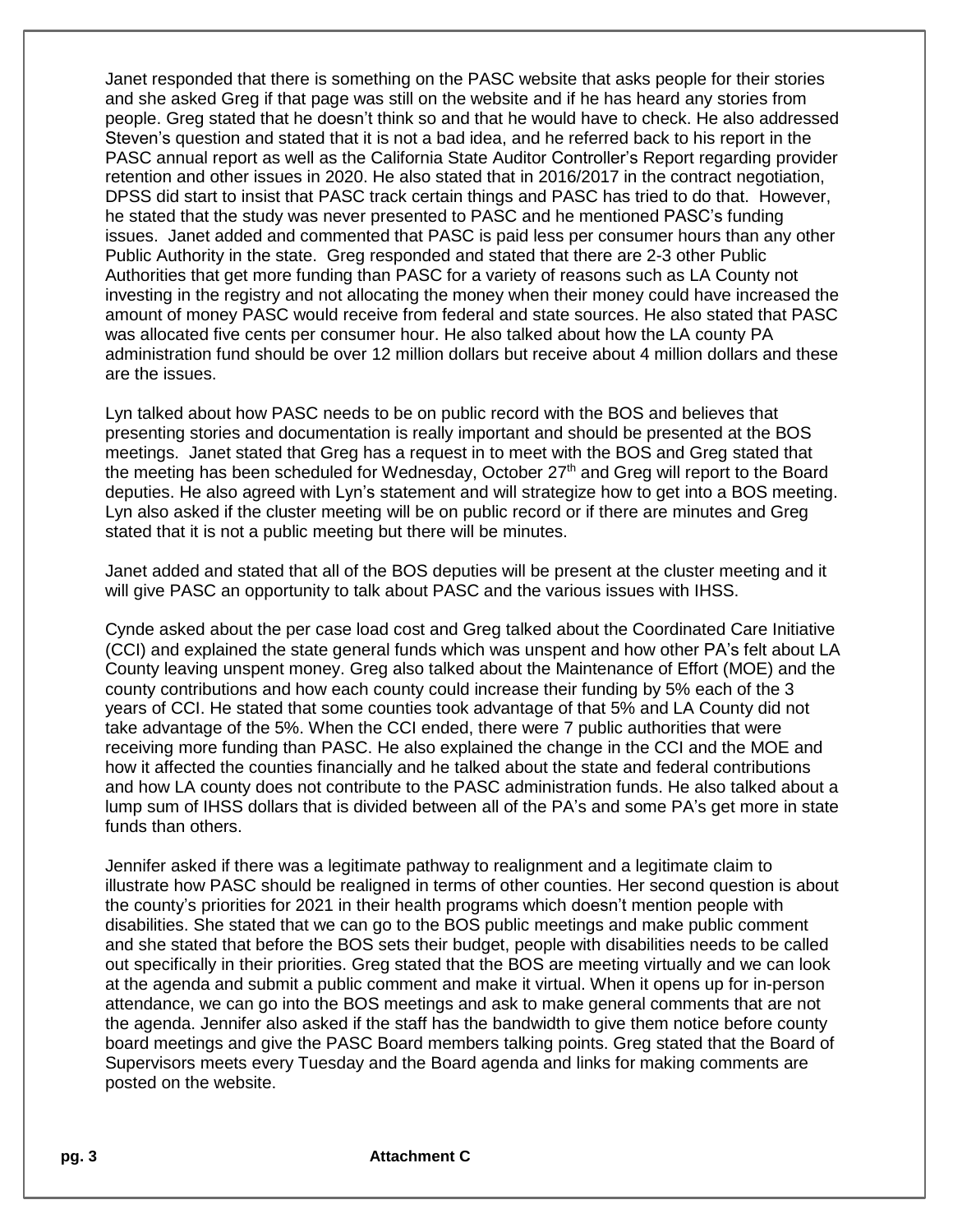Janet responded that there is something on the PASC website that asks people for their stories and she asked Greg if that page was still on the website and if he has heard any stories from people. Greg stated that he doesn't think so and that he would have to check. He also addressed Steven's question and stated that it is not a bad idea, and he referred back to his report in the PASC annual report as well as the California State Auditor Controller's Report regarding provider retention and other issues in 2020. He also stated that in 2016/2017 in the contract negotiation, DPSS did start to insist that PASC track certain things and PASC has tried to do that. However, he stated that the study was never presented to PASC and he mentioned PASC's funding issues. Janet added and commented that PASC is paid less per consumer hours than any other Public Authority in the state. Greg responded and stated that there are 2-3 other Public Authorities that get more funding than PASC for a variety of reasons such as LA County not investing in the registry and not allocating the money when their money could have increased the amount of money PASC would receive from federal and state sources. He also stated that PASC was allocated five cents per consumer hour. He also talked about how the LA county PA administration fund should be over 12 million dollars but receive about 4 million dollars and these are the issues.

Lyn talked about how PASC needs to be on public record with the BOS and believes that presenting stories and documentation is really important and should be presented at the BOS meetings. Janet stated that Greg has a request in to meet with the BOS and Greg stated that the meeting has been scheduled for Wednesday, October  $27<sup>th</sup>$  and Greg will report to the Board deputies. He also agreed with Lyn's statement and will strategize how to get into a BOS meeting. Lyn also asked if the cluster meeting will be on public record or if there are minutes and Greg stated that it is not a public meeting but there will be minutes.

Janet added and stated that all of the BOS deputies will be present at the cluster meeting and it will give PASC an opportunity to talk about PASC and the various issues with IHSS.

Cynde asked about the per case load cost and Greg talked about the Coordinated Care Initiative (CCI) and explained the state general funds which was unspent and how other PA's felt about LA County leaving unspent money. Greg also talked about the Maintenance of Effort (MOE) and the county contributions and how each county could increase their funding by 5% each of the 3 years of CCI. He stated that some counties took advantage of that 5% and LA County did not take advantage of the 5%. When the CCI ended, there were 7 public authorities that were receiving more funding than PASC. He also explained the change in the CCI and the MOE and how it affected the counties financially and he talked about the state and federal contributions and how LA county does not contribute to the PASC administration funds. He also talked about a lump sum of IHSS dollars that is divided between all of the PA's and some PA's get more in state funds than others.

Jennifer asked if there was a legitimate pathway to realignment and a legitimate claim to illustrate how PASC should be realigned in terms of other counties. Her second question is about the county's priorities for 2021 in their health programs which doesn't mention people with disabilities. She stated that we can go to the BOS public meetings and make public comment and she stated that before the BOS sets their budget, people with disabilities needs to be called out specifically in their priorities. Greg stated that the BOS are meeting virtually and we can look at the agenda and submit a public comment and make it virtual. When it opens up for in-person attendance, we can go into the BOS meetings and ask to make general comments that are not the agenda. Jennifer also asked if the staff has the bandwidth to give them notice before county board meetings and give the PASC Board members talking points. Greg stated that the Board of Supervisors meets every Tuesday and the Board agenda and links for making comments are posted on the website.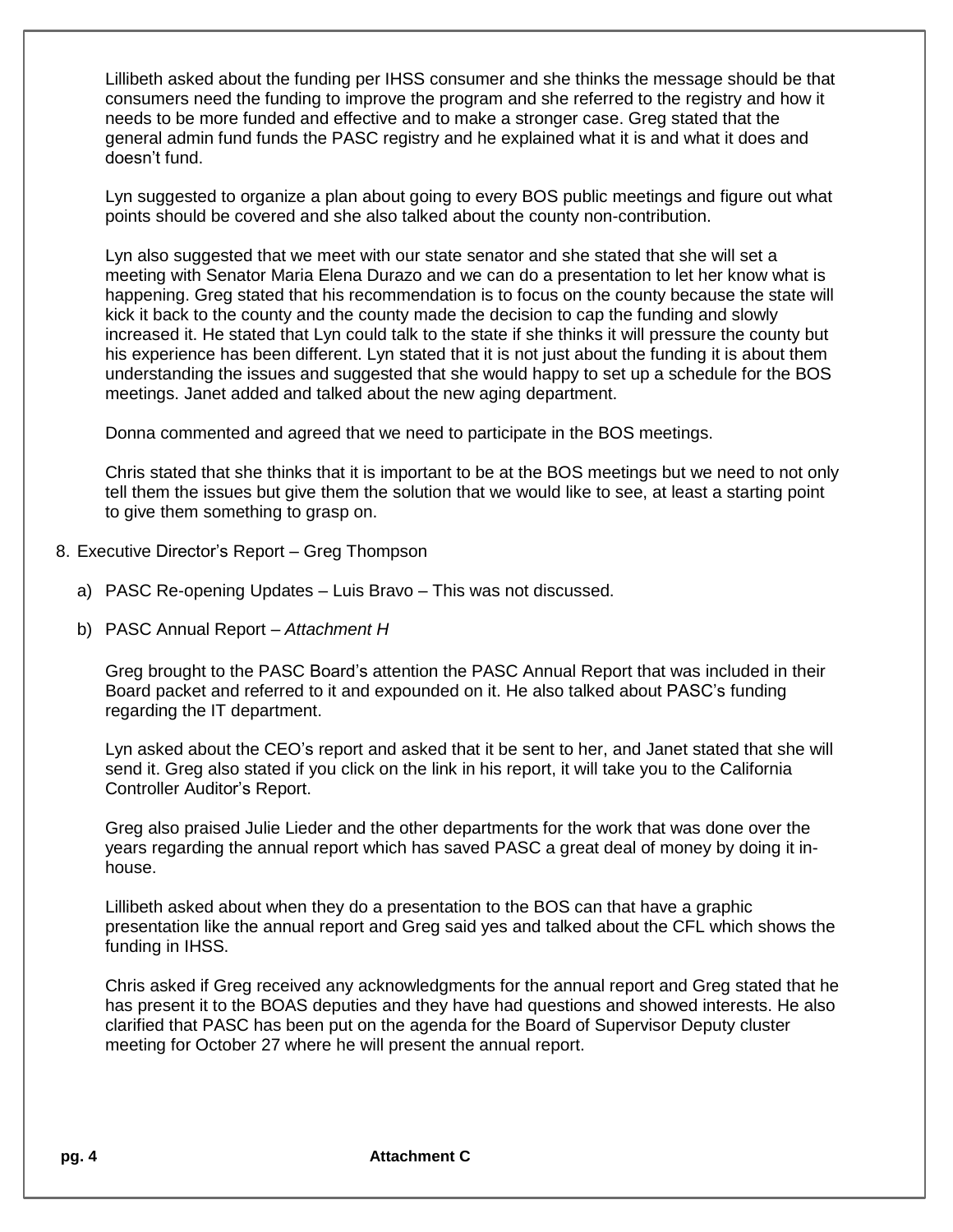Lillibeth asked about the funding per IHSS consumer and she thinks the message should be that consumers need the funding to improve the program and she referred to the registry and how it needs to be more funded and effective and to make a stronger case. Greg stated that the general admin fund funds the PASC registry and he explained what it is and what it does and doesn't fund.

Lyn suggested to organize a plan about going to every BOS public meetings and figure out what points should be covered and she also talked about the county non-contribution.

Lyn also suggested that we meet with our state senator and she stated that she will set a meeting with Senator Maria Elena Durazo and we can do a presentation to let her know what is happening. Greg stated that his recommendation is to focus on the county because the state will kick it back to the county and the county made the decision to cap the funding and slowly increased it. He stated that Lyn could talk to the state if she thinks it will pressure the county but his experience has been different. Lyn stated that it is not just about the funding it is about them understanding the issues and suggested that she would happy to set up a schedule for the BOS meetings. Janet added and talked about the new aging department.

Donna commented and agreed that we need to participate in the BOS meetings.

Chris stated that she thinks that it is important to be at the BOS meetings but we need to not only tell them the issues but give them the solution that we would like to see, at least a starting point to give them something to grasp on.

- 8. Executive Director's Report Greg Thompson
	- a) PASC Re-opening Updates Luis Bravo This was not discussed.
	- b) PASC Annual Report *Attachment H*

Greg brought to the PASC Board's attention the PASC Annual Report that was included in their Board packet and referred to it and expounded on it. He also talked about PASC's funding regarding the IT department.

Lyn asked about the CEO's report and asked that it be sent to her, and Janet stated that she will send it. Greg also stated if you click on the link in his report, it will take you to the California Controller Auditor's Report.

Greg also praised Julie Lieder and the other departments for the work that was done over the years regarding the annual report which has saved PASC a great deal of money by doing it inhouse.

Lillibeth asked about when they do a presentation to the BOS can that have a graphic presentation like the annual report and Greg said yes and talked about the CFL which shows the funding in IHSS.

Chris asked if Greg received any acknowledgments for the annual report and Greg stated that he has present it to the BOAS deputies and they have had questions and showed interests. He also clarified that PASC has been put on the agenda for the Board of Supervisor Deputy cluster meeting for October 27 where he will present the annual report.

**pg. 4 Attachment C**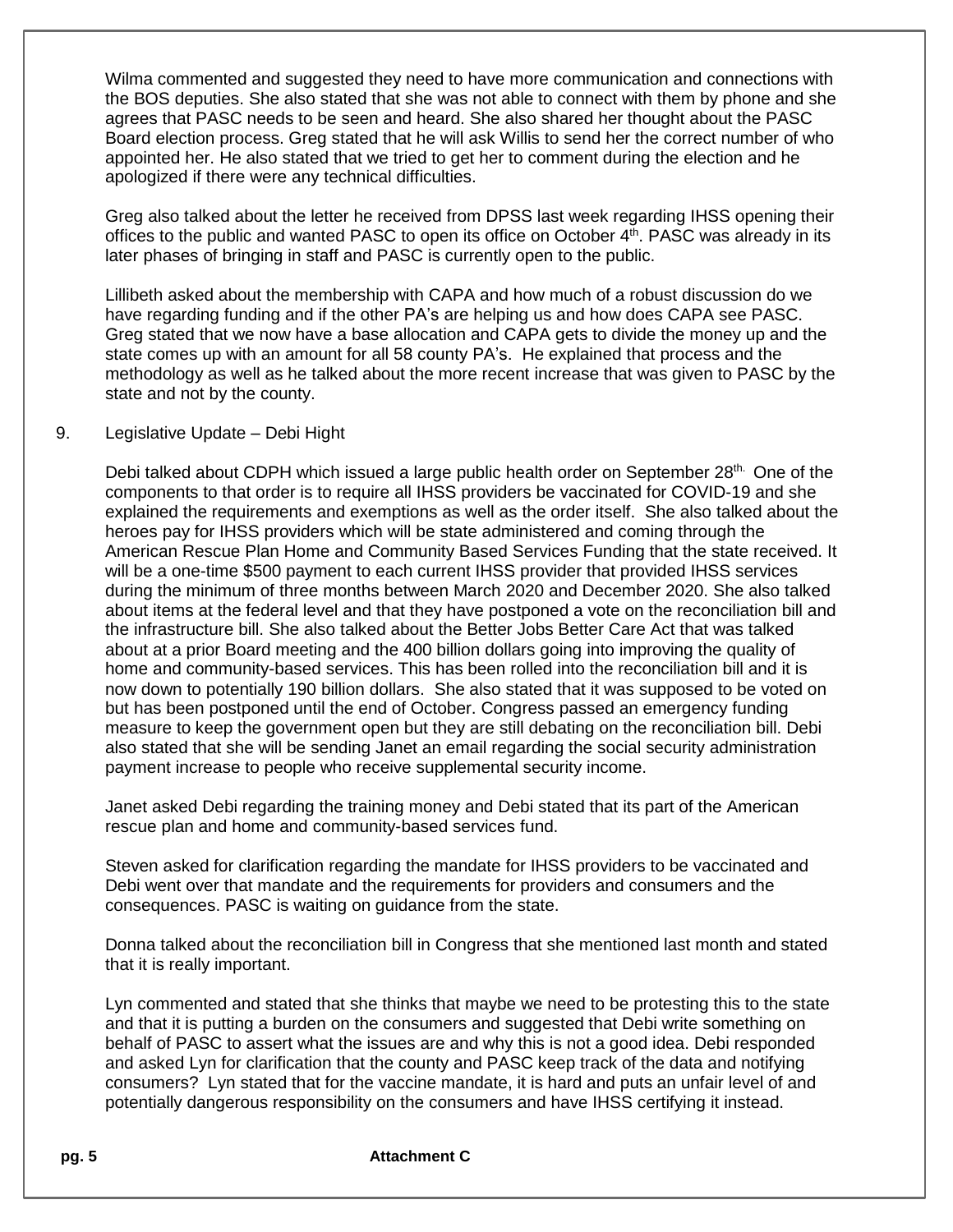Wilma commented and suggested they need to have more communication and connections with the BOS deputies. She also stated that she was not able to connect with them by phone and she agrees that PASC needs to be seen and heard. She also shared her thought about the PASC Board election process. Greg stated that he will ask Willis to send her the correct number of who appointed her. He also stated that we tried to get her to comment during the election and he apologized if there were any technical difficulties.

Greg also talked about the letter he received from DPSS last week regarding IHSS opening their offices to the public and wanted PASC to open its office on October 4<sup>th</sup>. PASC was already in its later phases of bringing in staff and PASC is currently open to the public.

Lillibeth asked about the membership with CAPA and how much of a robust discussion do we have regarding funding and if the other PA's are helping us and how does CAPA see PASC. Greg stated that we now have a base allocation and CAPA gets to divide the money up and the state comes up with an amount for all 58 county PA's. He explained that process and the methodology as well as he talked about the more recent increase that was given to PASC by the state and not by the county.

## 9. Legislative Update – Debi Hight

Debi talked about CDPH which issued a large public health order on September  $28<sup>th</sup>$ . One of the components to that order is to require all IHSS providers be vaccinated for COVID-19 and she explained the requirements and exemptions as well as the order itself. She also talked about the heroes pay for IHSS providers which will be state administered and coming through the American Rescue Plan Home and Community Based Services Funding that the state received. It will be a one-time \$500 payment to each current IHSS provider that provided IHSS services during the minimum of three months between March 2020 and December 2020. She also talked about items at the federal level and that they have postponed a vote on the reconciliation bill and the infrastructure bill. She also talked about the Better Jobs Better Care Act that was talked about at a prior Board meeting and the 400 billion dollars going into improving the quality of home and community-based services. This has been rolled into the reconciliation bill and it is now down to potentially 190 billion dollars. She also stated that it was supposed to be voted on but has been postponed until the end of October. Congress passed an emergency funding measure to keep the government open but they are still debating on the reconciliation bill. Debi also stated that she will be sending Janet an email regarding the social security administration payment increase to people who receive supplemental security income.

Janet asked Debi regarding the training money and Debi stated that its part of the American rescue plan and home and community-based services fund.

Steven asked for clarification regarding the mandate for IHSS providers to be vaccinated and Debi went over that mandate and the requirements for providers and consumers and the consequences. PASC is waiting on guidance from the state.

Donna talked about the reconciliation bill in Congress that she mentioned last month and stated that it is really important.

Lyn commented and stated that she thinks that maybe we need to be protesting this to the state and that it is putting a burden on the consumers and suggested that Debi write something on behalf of PASC to assert what the issues are and why this is not a good idea. Debi responded and asked Lyn for clarification that the county and PASC keep track of the data and notifying consumers? Lyn stated that for the vaccine mandate, it is hard and puts an unfair level of and potentially dangerous responsibility on the consumers and have IHSS certifying it instead.

## **pg. 5 Attachment C**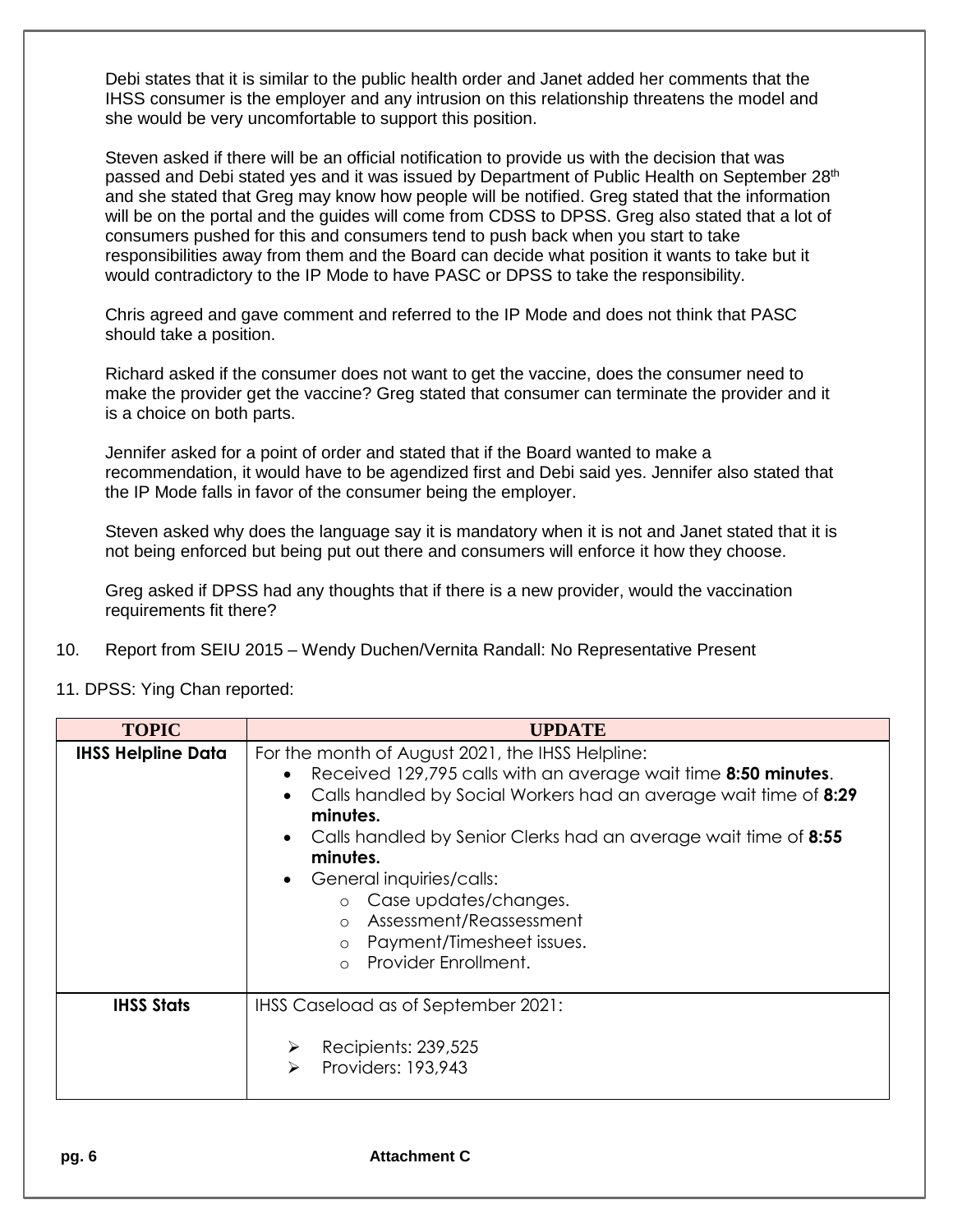Debi states that it is similar to the public health order and Janet added her comments that the IHSS consumer is the employer and any intrusion on this relationship threatens the model and she would be very uncomfortable to support this position.

Steven asked if there will be an official notification to provide us with the decision that was passed and Debi stated yes and it was issued by Department of Public Health on September 28<sup>th</sup> and she stated that Greg may know how people will be notified. Greg stated that the information will be on the portal and the guides will come from CDSS to DPSS. Greg also stated that a lot of consumers pushed for this and consumers tend to push back when you start to take responsibilities away from them and the Board can decide what position it wants to take but it would contradictory to the IP Mode to have PASC or DPSS to take the responsibility.

Chris agreed and gave comment and referred to the IP Mode and does not think that PASC should take a position.

Richard asked if the consumer does not want to get the vaccine, does the consumer need to make the provider get the vaccine? Greg stated that consumer can terminate the provider and it is a choice on both parts.

Jennifer asked for a point of order and stated that if the Board wanted to make a recommendation, it would have to be agendized first and Debi said yes. Jennifer also stated that the IP Mode falls in favor of the consumer being the employer.

Steven asked why does the language say it is mandatory when it is not and Janet stated that it is not being enforced but being put out there and consumers will enforce it how they choose.

Greg asked if DPSS had any thoughts that if there is a new provider, would the vaccination requirements fit there?

- 10. Report from SEIU 2015 Wendy Duchen/Vernita Randall: No Representative Present
- 11. DPSS: Ying Chan reported:

| <b>TOPIC</b>              | <b>UPDATE</b>                                                                                                                                                                                                                                                                                                                                                                                                                                               |
|---------------------------|-------------------------------------------------------------------------------------------------------------------------------------------------------------------------------------------------------------------------------------------------------------------------------------------------------------------------------------------------------------------------------------------------------------------------------------------------------------|
| <b>IHSS Helpline Data</b> | For the month of August 2021, the IHSS Helpline:<br>Received 129,795 calls with an average wait time 8:50 minutes.<br>Calls handled by Social Workers had an average wait time of 8:29<br>minutes.<br>Calls handled by Senior Clerks had an average wait time of 8:55<br>minutes.<br>General inquiries/calls:<br>o Case updates/changes.<br>Assessment/Reassessment<br>$\circ$<br>Payment/Timesheet issues.<br>$\circ$<br>Provider Enrollment.<br>$\bigcap$ |
| <b>IHSS Stats</b>         | IHSS Caseload as of September 2021:<br>Recipients: 239,525<br>≻<br>Providers: 193,943<br>➤                                                                                                                                                                                                                                                                                                                                                                  |

**pg. 6 Attachment C**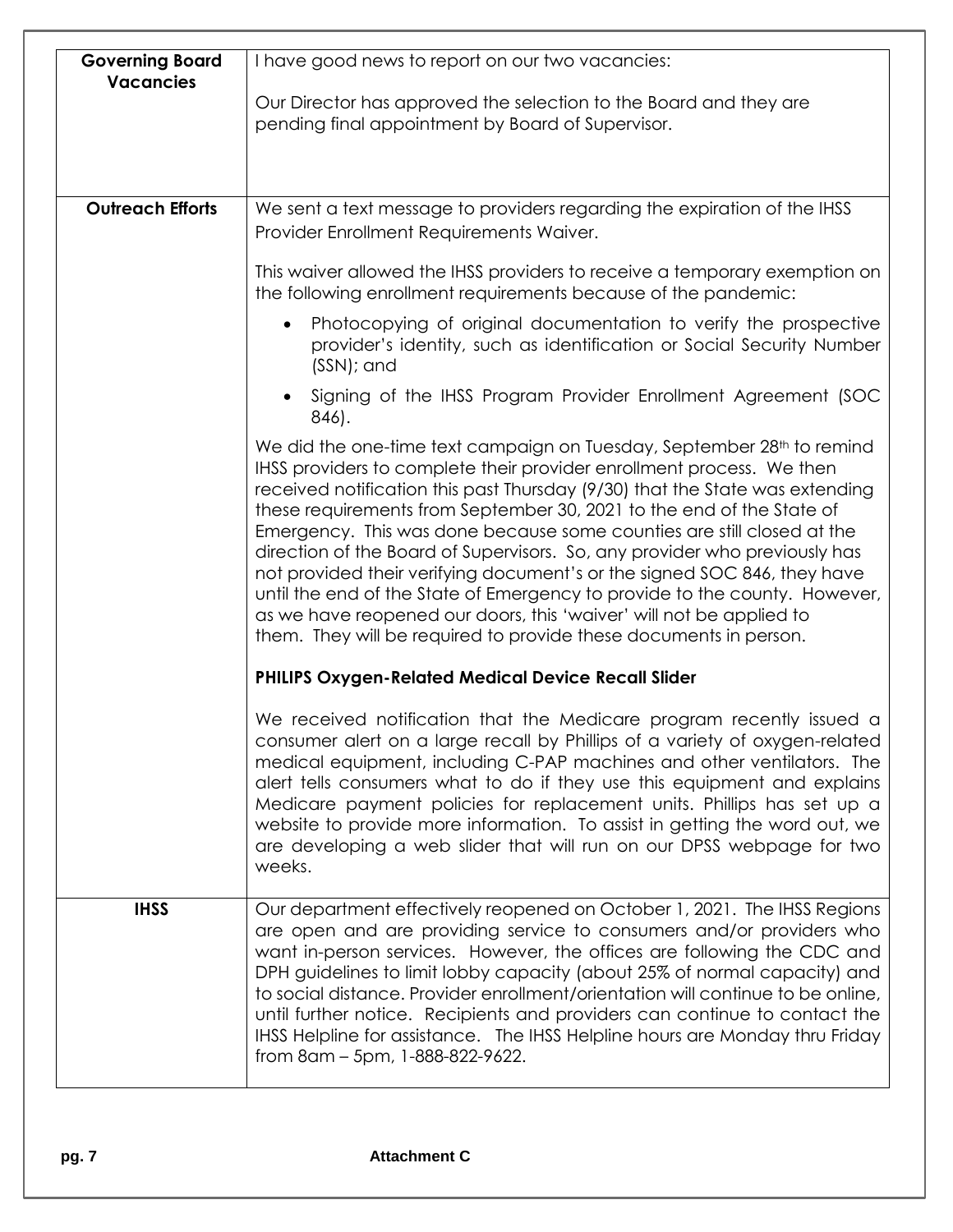| I have good news to report on our two vacancies:                                                                                                                                                                                                                                                                                                                                                                                                                                                                                                                                                                                                                                                                                                                                   |
|------------------------------------------------------------------------------------------------------------------------------------------------------------------------------------------------------------------------------------------------------------------------------------------------------------------------------------------------------------------------------------------------------------------------------------------------------------------------------------------------------------------------------------------------------------------------------------------------------------------------------------------------------------------------------------------------------------------------------------------------------------------------------------|
| Our Director has approved the selection to the Board and they are<br>pending final appointment by Board of Supervisor.                                                                                                                                                                                                                                                                                                                                                                                                                                                                                                                                                                                                                                                             |
|                                                                                                                                                                                                                                                                                                                                                                                                                                                                                                                                                                                                                                                                                                                                                                                    |
| We sent a text message to providers regarding the expiration of the IHSS<br>Provider Enrollment Requirements Waiver.                                                                                                                                                                                                                                                                                                                                                                                                                                                                                                                                                                                                                                                               |
| This waiver allowed the IHSS providers to receive a temporary exemption on<br>the following enrollment requirements because of the pandemic:                                                                                                                                                                                                                                                                                                                                                                                                                                                                                                                                                                                                                                       |
| Photocopying of original documentation to verify the prospective<br>provider's identity, such as identification or Social Security Number<br>(SSN); and                                                                                                                                                                                                                                                                                                                                                                                                                                                                                                                                                                                                                            |
| Signing of the IHSS Program Provider Enrollment Agreement (SOC<br>846).                                                                                                                                                                                                                                                                                                                                                                                                                                                                                                                                                                                                                                                                                                            |
| We did the one-time text campaign on Tuesday, September 28 <sup>th</sup> to remind<br>IHSS providers to complete their provider enrollment process. We then<br>received notification this past Thursday (9/30) that the State was extending<br>these requirements from September 30, 2021 to the end of the State of<br>Emergency. This was done because some counties are still closed at the<br>direction of the Board of Supervisors. So, any provider who previously has<br>not provided their verifying document's or the signed SOC 846, they have<br>until the end of the State of Emergency to provide to the county. However,<br>as we have reopened our doors, this 'waiver' will not be applied to<br>them. They will be required to provide these documents in person. |
| <b>PHILIPS Oxygen-Related Medical Device Recall Slider</b>                                                                                                                                                                                                                                                                                                                                                                                                                                                                                                                                                                                                                                                                                                                         |
| We received notification that the Medicare program recently issued a<br>consumer alert on a large recall by Phillips of a variety of oxygen-related<br>medical equipment, including C-PAP machines and other ventilators. The<br>alert tells consumers what to do if they use this equipment and explains<br>Medicare payment policies for replacement units. Phillips has set up a<br>website to provide more information. To assist in getting the word out, we<br>are developing a web slider that will run on our DPSS webpage for two<br>weeks.                                                                                                                                                                                                                               |
| Our department effectively reopened on October 1, 2021. The IHSS Regions<br>are open and are providing service to consumers and/or providers who<br>want in-person services. However, the offices are following the CDC and<br>DPH guidelines to limit lobby capacity (about 25% of normal capacity) and<br>to social distance. Provider enrollment/orientation will continue to be online,<br>until further notice. Recipients and providers can continue to contact the<br>IHSS Helpline for assistance. The IHSS Helpline hours are Monday thru Friday<br>from 8am – 5pm, 1-888-822-9622.                                                                                                                                                                                       |
|                                                                                                                                                                                                                                                                                                                                                                                                                                                                                                                                                                                                                                                                                                                                                                                    |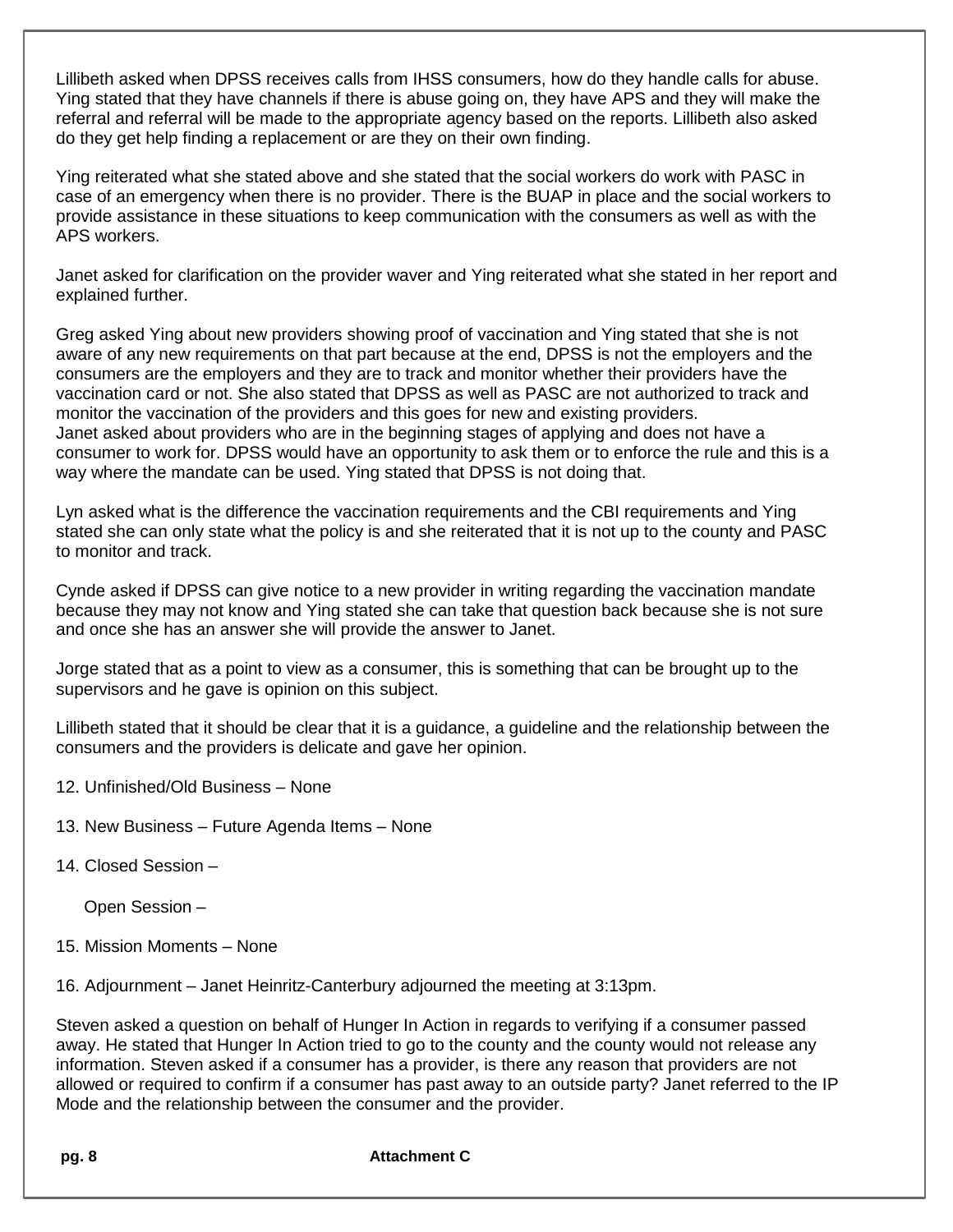Lillibeth asked when DPSS receives calls from IHSS consumers, how do they handle calls for abuse. Ying stated that they have channels if there is abuse going on, they have APS and they will make the referral and referral will be made to the appropriate agency based on the reports. Lillibeth also asked do they get help finding a replacement or are they on their own finding.

Ying reiterated what she stated above and she stated that the social workers do work with PASC in case of an emergency when there is no provider. There is the BUAP in place and the social workers to provide assistance in these situations to keep communication with the consumers as well as with the APS workers.

Janet asked for clarification on the provider waver and Ying reiterated what she stated in her report and explained further.

Greg asked Ying about new providers showing proof of vaccination and Ying stated that she is not aware of any new requirements on that part because at the end, DPSS is not the employers and the consumers are the employers and they are to track and monitor whether their providers have the vaccination card or not. She also stated that DPSS as well as PASC are not authorized to track and monitor the vaccination of the providers and this goes for new and existing providers. Janet asked about providers who are in the beginning stages of applying and does not have a consumer to work for. DPSS would have an opportunity to ask them or to enforce the rule and this is a way where the mandate can be used. Ying stated that DPSS is not doing that.

Lyn asked what is the difference the vaccination requirements and the CBI requirements and Ying stated she can only state what the policy is and she reiterated that it is not up to the county and PASC to monitor and track.

Cynde asked if DPSS can give notice to a new provider in writing regarding the vaccination mandate because they may not know and Ying stated she can take that question back because she is not sure and once she has an answer she will provide the answer to Janet.

Jorge stated that as a point to view as a consumer, this is something that can be brought up to the supervisors and he gave is opinion on this subject.

Lillibeth stated that it should be clear that it is a guidance, a guideline and the relationship between the consumers and the providers is delicate and gave her opinion.

- 12. Unfinished/Old Business None
- 13. New Business Future Agenda Items None
- 14. Closed Session –

Open Session –

15. Mission Moments – None

16. Adjournment – Janet Heinritz-Canterbury adjourned the meeting at 3:13pm.

Steven asked a question on behalf of Hunger In Action in regards to verifying if a consumer passed away. He stated that Hunger In Action tried to go to the county and the county would not release any information. Steven asked if a consumer has a provider, is there any reason that providers are not allowed or required to confirm if a consumer has past away to an outside party? Janet referred to the IP Mode and the relationship between the consumer and the provider.

**pg. 8 Attachment C**